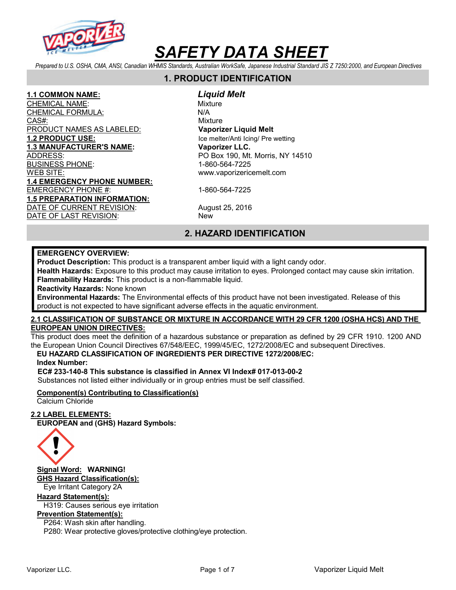

Prepared to U.S. OSHA, CMA, ANSI, Canadian WHMIS Standards, Australian WorkSafe, Japanese Industrial Standard JIS Z 7250:2000, and European Directives

# 1. PRODUCT IDENTIFICATION

<u>1.1 COMMON NAME:</u> *Liquid Melt*<br>CHEMICAL NAME: Mixture **CHEMICAL NAME:** CHEMICAL FORMULA: N/A CAS#: White Mixture CAS Mixture PRODUCT NAMES AS LABELED: Vaporizer Liquid Melt 1.2 **PRODUCT USE:** Interventional Library and Table melter/Anti Icing/ Pre wetting 1.3 MANUFACTURER'S NAME: Vaporizer LLC. ADDRESS: AND RESIDENCE RELATIONS AND PO Box 190, Mt. Morris, NY 14510 BUSINESS PHONE: 1-860-564-7225 WEB SITE: www.vaporizericemelt.com 1.4 EMERGENCY PHONE NUMBER: EMERGENCY PHONE #: 1-860-564-7225 1.5 PREPARATION INFORMATION: DATE OF CURRENT REVISION: August 25, 2016 DATE OF LAST REVISION: New

# 2. HAZARD IDENTIFICATION

#### EMERGENCY OVERVIEW:

Product Description: This product is a transparent amber liquid with a light candy odor.

Health Hazards: Exposure to this product may cause irritation to eyes. Prolonged contact may cause skin irritation. Flammability Hazards: This product is a non-flammable liquid.

Reactivity Hazards: None known

Environmental Hazards: The Environmental effects of this product have not been investigated. Release of this product is not expected to have significant adverse effects in the aquatic environment.

### 2.1 CLASSIFICATION OF SUBSTANCE OR MIXTURE IN ACCORDANCE WITH 29 CFR 1200 (OSHA HCS) AND THE EUROPEAN UNION DIRECTIVES:

This product does meet the definition of a hazardous substance or preparation as defined by 29 CFR 1910. 1200 AND the European Union Council Directives 67/548/EEC, 1999/45/EC, 1272/2008/EC and subsequent Directives.

# EU HAZARD CLASSIFICATION OF INGREDIENTS PER DIRECTIVE 1272/2008/EC:

Index Number:

EC# 233-140-8 This substance is classified in Annex VI Index# 017-013-00-2 Substances not listed either individually or in group entries must be self classified.

### Component(s) Contributing to Classification(s)

Calcium Chloride

### 2.2 LABEL ELEMENTS:

EUROPEAN and (GHS) Hazard Symbols:



Signal Word: WARNING! GHS Hazard Classification(s): Eye Irritant Category 2A

#### Hazard Statement(s):

H319: Causes serious eye irritation

### Prevention Statement(s):

P264: Wash skin after handling. P280: Wear protective gloves/protective clothing/eye protection.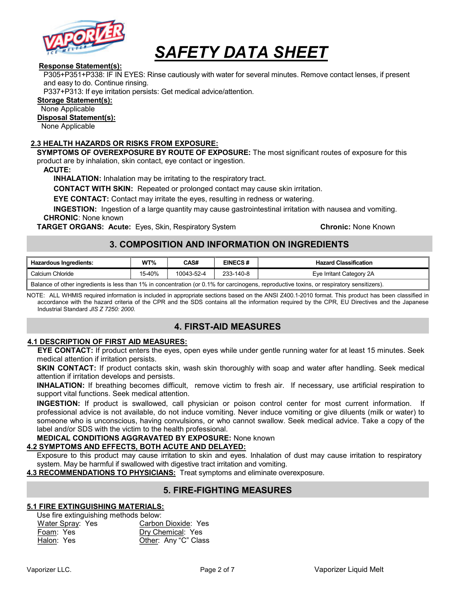

### Response Statement(s):

P305+P351+P338: IF IN EYES: Rinse cautiously with water for several minutes. Remove contact lenses, if present and easy to do. Continue rinsing.

P337+P313: If eye irritation persists: Get medical advice/attention.

### Storage Statement(s):

None Applicable

#### Disposal Statement(s):

None Applicable

### 2.3 HEALTH HAZARDS OR RISKS FROM EXPOSURE:

SYMPTOMS OF OVEREXPOSURE BY ROUTE OF EXPOSURE: The most significant routes of exposure for this product are by inhalation, skin contact, eye contact or ingestion.

ACUTE:

INHALATION: Inhalation may be irritating to the respiratory tract.

CONTACT WITH SKIN: Repeated or prolonged contact may cause skin irritation.

EYE CONTACT: Contact may irritate the eyes, resulting in redness or watering.

INGESTION: Ingestion of a large quantity may cause gastrointestinal irritation with nausea and vomiting. CHRONIC: None known

**TARGET ORGANS: Acute:** Eyes, Skin, Respiratory System **Chronic: None Known** Chronic: None Known

# 3. COMPOSITION AND INFORMATION ON INGREDIENTS

| <b>Hazardous Ingredients:</b>                                                                                                             | $WT\%$ | CAS#       | <b>EINECS#</b> | <b>Hazard Classification</b> |  |  |  |
|-------------------------------------------------------------------------------------------------------------------------------------------|--------|------------|----------------|------------------------------|--|--|--|
| Calcium Chloride                                                                                                                          | 15-40% | 10043-52-4 | 233-140-8      | Eye Irritant Category 2A     |  |  |  |
| Balance of other ingredients is less than 1% in concentration (or 0.1% for carcinogens, reproductive toxins, or respiratory sensitizers). |        |            |                |                              |  |  |  |

NOTE: ALL WHMIS required information is included in appropriate sections based on the ANSI Z400.1-2010 format. This product has been classified in accordance with the hazard criteria of the CPR and the SDS contains all the information required by the CPR, EU Directives and the Japanese Industrial Standard JIS Z 7250: 2000.

# 4. FIRST-AID MEASURES

### 4.1 DESCRIPTION OF FIRST AID MEASURES:

EYE CONTACT: If product enters the eyes, open eyes while under gentle running water for at least 15 minutes. Seek medical attention if irritation persists.

SKIN CONTACT: If product contacts skin, wash skin thoroughly with soap and water after handling. Seek medical attention if irritation develops and persists.

INHALATION: If breathing becomes difficult, remove victim to fresh air. If necessary, use artificial respiration to support vital functions. Seek medical attention.

INGESTION: If product is swallowed, call physician or poison control center for most current information. If professional advice is not available, do not induce vomiting. Never induce vomiting or give diluents (milk or water) to someone who is unconscious, having convulsions, or who cannot swallow. Seek medical advice. Take a copy of the label and/or SDS with the victim to the health professional.

### MEDICAL CONDITIONS AGGRAVATED BY EXPOSURE: None known

### 4.2 SYMPTOMS AND EFFECTS, BOTH ACUTE AND DELAYED:

Exposure to this product may cause irritation to skin and eyes. Inhalation of dust may cause irritation to respiratory system. May be harmful if swallowed with digestive tract irritation and vomiting.

4.3 RECOMMENDATIONS TO PHYSICIANS: Treat symptoms and eliminate overexposure.

# 5. FIRE-FIGHTING MEASURES

### 5.1 FIRE EXTINGUISHING MATERIALS:

Use fire extinguishing methods below:

| Water Spray: Yes | Carbon Dioxide: Yes  |
|------------------|----------------------|
| Foam: Yes        | Dry Chemical: Yes    |
| Halon: Yes       | Other: Any "C" Class |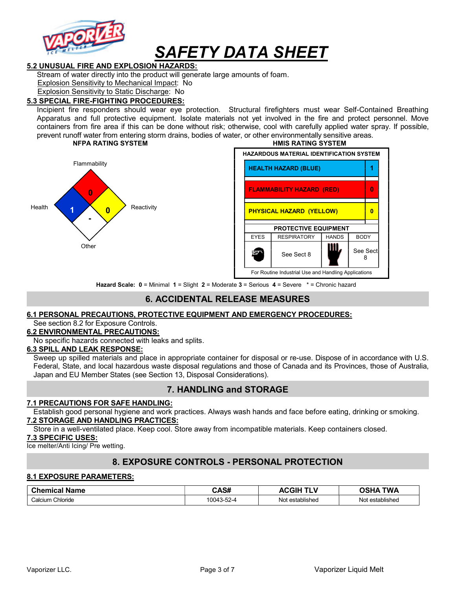

### 5.2 UNUSUAL FIRE AND EXPLOSION HAZARDS:

Stream of water directly into the product will generate large amounts of foam.

Explosion Sensitivity to Mechanical Impact: No

Explosion Sensitivity to Static Discharge: No

### 5.3 SPECIAL FIRE-FIGHTING PROCEDURES:

Incipient fire responders should wear eye protection. Structural firefighters must wear Self-Contained Breathing Apparatus and full protective equipment. Isolate materials not yet involved in the fire and protect personnel. Move containers from fire area if this can be done without risk; otherwise, cool with carefully applied water spray. If possible, prevent runoff water from entering storm drains, bodies of water, or other environmentally sensitive areas.<br>**HIMIS RATING SYSTEM** 





Hazard Scale: 0 = Minimal 1 = Slight 2 = Moderate 3 = Serious 4 = Severe \* = Chronic hazard

# 6. ACCIDENTAL RELEASE MEASURES

### 6.1 PERSONAL PRECAUTIONS, PROTECTIVE EQUIPMENT AND EMERGENCY PROCEDURES:

See section 8.2 for Exposure Controls.

### 6.2 ENVIRONMENTAL PRECAUTIONS:

No specific hazards connected with leaks and splits.

### 6.3 SPILL AND LEAK RESPONSE:

Sweep up spilled materials and place in appropriate container for disposal or re-use. Dispose of in accordance with U.S. Federal, State, and local hazardous waste disposal regulations and those of Canada and its Provinces, those of Australia, Japan and EU Member States (see Section 13, Disposal Considerations).

# 7. HANDLING and STORAGE

### 7.1 PRECAUTIONS FOR SAFE HANDLING:

Establish good personal hygiene and work practices. Always wash hands and face before eating, drinking or smoking. 7.2 STORAGE AND HANDLING PRACTICES:

Store in a well-ventilated place. Keep cool. Store away from incompatible materials. Keep containers closed.

### 7.3 SPECIFIC USES:

Ice melter/Anti Icing/ Pre wetting.

# 8. EXPOSURE CONTROLS - PERSONAL PROTECTION

### 8.1 EXPOSURE PARAMETERS:

| <b>Chemical Name</b> | CAS#       | . <i>.</i><br><b>ACGIF</b><br>- V<br>. . | TWA<br>วรหA     |
|----------------------|------------|------------------------------------------|-----------------|
| Calcium Chloride     | 10043-52-4 | $\cdots$<br>Not<br>t established         | Not established |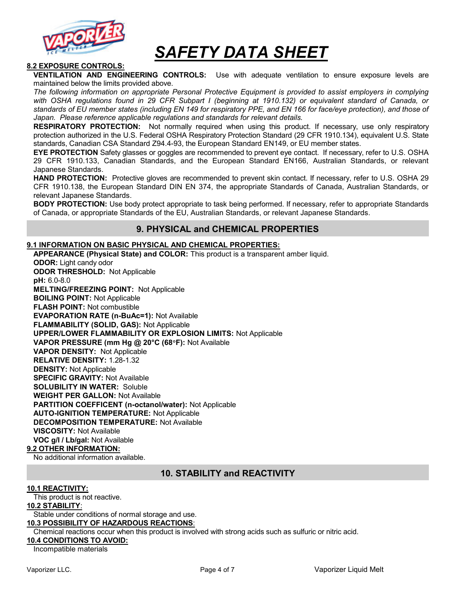

### 8.2 EXPOSURE CONTROLS:

VENTILATION AND ENGINEERING CONTROLS: Use with adequate ventilation to ensure exposure levels are maintained below the limits provided above.

The following information on appropriate Personal Protective Equipment is provided to assist employers in complying with OSHA regulations found in 29 CFR Subpart I (beginning at 1910.132) or equivalent standard of Canada, or standards of EU member states (including EN 149 for respiratory PPE, and EN 166 for face/eye protection), and those of Japan. Please reference applicable regulations and standards for relevant details.

RESPIRATORY PROTECTION: Not normally required when using this product. If necessary, use only respiratory protection authorized in the U.S. Federal OSHA Respiratory Protection Standard (29 CFR 1910.134), equivalent U.S. State standards, Canadian CSA Standard Z94.4-93, the European Standard EN149, or EU member states.

EYE PROTECTION Safety glasses or goggles are recommended to prevent eye contact. If necessary, refer to U.S. OSHA 29 CFR 1910.133, Canadian Standards, and the European Standard EN166, Australian Standards, or relevant Japanese Standards.

HAND PROTECTION: Protective gloves are recommended to prevent skin contact. If necessary, refer to U.S. OSHA 29 CFR 1910.138, the European Standard DIN EN 374, the appropriate Standards of Canada, Australian Standards, or relevant Japanese Standards.

**BODY PROTECTION:** Use body protect appropriate to task being performed. If necessary, refer to appropriate Standards of Canada, or appropriate Standards of the EU, Australian Standards, or relevant Japanese Standards.

# 9. PHYSICAL and CHEMICAL PROPERTIES

### 9.1 INFORMATION ON BASIC PHYSICAL AND CHEMICAL PROPERTIES:

APPEARANCE (Physical State) and COLOR: This product is a transparent amber liquid.

ODOR: Light candy odor ODOR THRESHOLD: Not Applicable pH: 6.0-8.0 MELTING/FREEZING POINT: Not Applicable BOILING POINT: Not Applicable FLASH POINT: Not combustible EVAPORATION RATE (n-BuAc=1): Not Available FLAMMABILITY (SOLID, GAS): Not Applicable UPPER/LOWER FLAMMABILITY OR EXPLOSION LIMITS: Not Applicable VAPOR PRESSURE (mm Hg @ 20°C (68°F): Not Available VAPOR DENSITY: Not Applicable RELATIVE DENSITY: 1.28-1.32 DENSITY: Not Applicable SPECIFIC GRAVITY: Not Available SOLUBILITY IN WATER: Soluble WEIGHT PER GALLON: Not Available PARTITION COEFFICENT (n-octanol/water): Not Applicable AUTO-IGNITION TEMPERATURE: Not Applicable DECOMPOSITION TEMPERATURE: Not Available VISCOSITY: Not Available VOC g/l / Lb/gal: Not Available

### 9.2 OTHER INFORMATION:

No additional information available.

# 10. STABILITY and REACTIVITY

#### 10.1 REACTIVITY:

This product is not reactive.

### 10.2 STABILITY:

Stable under conditions of normal storage and use.

### 10.3 POSSIBILITY OF HAZARDOUS REACTIONS:

Chemical reactions occur when this product is involved with strong acids such as sulfuric or nitric acid.

### 10.4 CONDITIONS TO AVOID:

Incompatible materials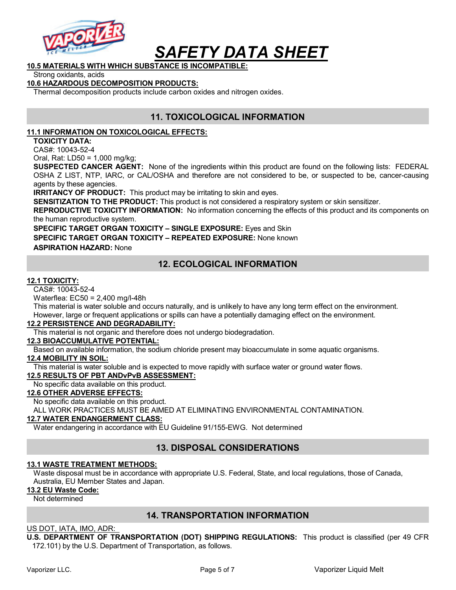

# 10.5 MATERIALS WITH WHICH SUBSTANCE IS INCOMPATIBLE:

Strong oxidants, acids

### 10.6 HAZARDOUS DECOMPOSITION PRODUCTS:

Thermal decomposition products include carbon oxides and nitrogen oxides.

# 11. TOXICOLOGICAL INFORMATION

### 11.1 INFORMATION ON TOXICOLOGICAL EFFECTS:

TOXICITY DATA:

CAS#: 10043-52-4

Oral, Rat: LD50 = 1,000 mg/kg;

SUSPECTED CANCER AGENT: None of the ingredients within this product are found on the following lists: FEDERAL OSHA Z LIST, NTP, IARC, or CAL/OSHA and therefore are not considered to be, or suspected to be, cancer-causing agents by these agencies.

**IRRITANCY OF PRODUCT:** This product may be irritating to skin and eyes.

SENSITIZATION TO THE PRODUCT: This product is not considered a respiratory system or skin sensitizer.

REPRODUCTIVE TOXICITY INFORMATION: No information concerning the effects of this product and its components on the human reproductive system.

SPECIFIC TARGET ORGAN TOXICITY - SINGLE EXPOSURE: Eyes and Skin

SPECIFIC TARGET ORGAN TOXICITY – REPEATED EXPOSURE: None known

ASPIRATION HAZARD: None

# 12. ECOLOGICAL INFORMATION

### 12.1 TOXICITY:

CAS#: 10043-52-4

Waterflea: EC50 = 2,400 mg/l-48h

This material is water soluble and occurs naturally, and is unlikely to have any long term effect on the environment. However, large or frequent applications or spills can have a potentially damaging effect on the environment.

### 12.2 PERSISTENCE AND DEGRADABILITY:

This material is not organic and therefore does not undergo biodegradation.

### 12.3 BIOACCUMULATIVE POTENTIAL:

Based on available information, the sodium chloride present may bioaccumulate in some aquatic organisms.

### 12.4 MOBILITY IN SOIL:

This material is water soluble and is expected to move rapidly with surface water or ground water flows.

### 12.5 RESULTS OF PBT ANDvPvB ASSESSMENT:

No specific data available on this product.

### 12.6 OTHER ADVERSE EFFECTS:

No specific data available on this product.

ALL WORK PRACTICES MUST BE AIMED AT ELIMINATING ENVIRONMENTAL CONTAMINATION.

### 12.7 WATER ENDANGERMENT CLASS:

Water endangering in accordance with EU Guideline 91/155-EWG. Not determined

# 13. DISPOSAL CONSIDERATIONS

### 13.1 WASTE TREATMENT METHODS:

Waste disposal must be in accordance with appropriate U.S. Federal, State, and local regulations, those of Canada, Australia, EU Member States and Japan.

13.2 EU Waste Code:

Not determined

# 14. TRANSPORTATION INFORMATION

### US DOT, IATA, IMO, ADR:

U.S. DEPARTMENT OF TRANSPORTATION (DOT) SHIPPING REGULATIONS: This product is classified (per 49 CFR 172.101) by the U.S. Department of Transportation, as follows.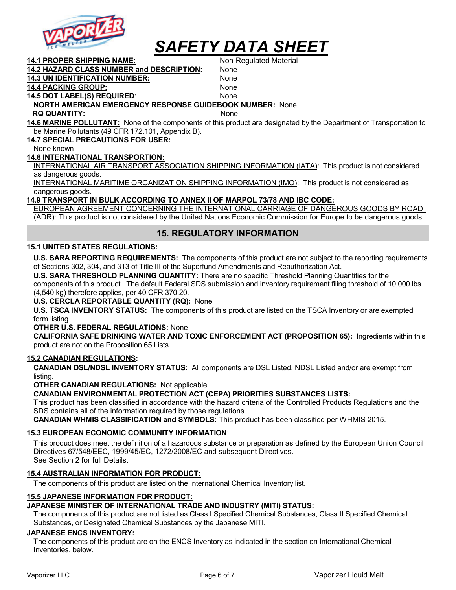

14.1 PROPER SHIPPING NAME: Non-Regulated Material

14.2 HAZARD CLASS NUMBER and DESCRIPTION: None

14.3 UN IDENTIFICATION NUMBER: None 14.4 PACKING GROUP: None

#### 14.5 DOT LABEL(S) REQUIRED: None NORTH AMERICAN EMERGENCY RESPONSE GUIDEBOOK NUMBER: None

RQ QUANTITY: None

14.6 MARINE POLLUTANT: None of the components of this product are designated by the Department of Transportation to be Marine Pollutants (49 CFR 172.101, Appendix B).

14.7 SPECIAL PRECAUTIONS FOR USER:

None known

### 14.8 INTERNATIONAL TRANSPORTION:

INTERNATIONAL AIR TRANSPORT ASSOCIATION SHIPPING INFORMATION (IATA): This product is not considered as dangerous goods.

INTERNATIONAL MARITIME ORGANIZATION SHIPPING INFORMATION (IMO): This product is not considered as dangerous goods.

### 14.9 TRANSPORT IN BULK ACCORDING TO ANNEX II OF MARPOL 73/78 AND IBC CODE:

EUROPEAN AGREEMENT CONCERNING THE INTERNATIONAL CARRIAGE OF DANGEROUS GOODS BY ROAD (ADR): This product is not considered by the United Nations Economic Commission for Europe to be dangerous goods.

# 15. REGULATORY INFORMATION

### 15.1 UNITED STATES REGULATIONS:

U.S. SARA REPORTING REQUIREMENTS: The components of this product are not subject to the reporting requirements of Sections 302, 304, and 313 of Title III of the Superfund Amendments and Reauthorization Act.

U.S. SARA THRESHOLD PLANNING QUANTITY: There are no specific Threshold Planning Quantities for the components of this product. The default Federal SDS submission and inventory requirement filing threshold of 10,000 lbs (4,540 kg) therefore applies, per 40 CFR 370.20.

### U.S. CERCLA REPORTABLE QUANTITY (RQ): None

**U.S. TSCA INVENTORY STATUS:** The components of this product are listed on the TSCA Inventory or are exempted form listing.

### OTHER U.S. FEDERAL REGULATIONS: None

CALIFORNIA SAFE DRINKING WATER AND TOXIC ENFORCEMENT ACT (PROPOSITION 65): Ingredients within this product are not on the Proposition 65 Lists.

### 15.2 CANADIAN REGULATIONS:

CANADIAN DSL/NDSL INVENTORY STATUS: All components are DSL Listed, NDSL Listed and/or are exempt from listing.

OTHER CANADIAN REGULATIONS: Not applicable.

# CANADIAN ENVIRONMENTAL PROTECTION ACT (CEPA) PRIORITIES SUBSTANCES LISTS:

This product has been classified in accordance with the hazard criteria of the Controlled Products Regulations and the SDS contains all of the information required by those regulations.

CANADIAN WHMIS CLASSIFICATION and SYMBOLS: This product has been classified per WHMIS 2015.

# 15.3 EUROPEAN ECONOMIC COMMUNITY INFORMATION:

This product does meet the definition of a hazardous substance or preparation as defined by the European Union Council Directives 67/548/EEC, 1999/45/EC, 1272/2008/EC and subsequent Directives. See Section 2 for full Details.

# 15.4 AUSTRALIAN INFORMATION FOR PRODUCT:

The components of this product are listed on the International Chemical Inventory list.

# 15.5 JAPANESE INFORMATION FOR PRODUCT:

# JAPANESE MINISTER OF INTERNATIONAL TRADE AND INDUSTRY (MITI) STATUS:

The components of this product are not listed as Class I Specified Chemical Substances, Class II Specified Chemical Substances, or Designated Chemical Substances by the Japanese MITI.

# JAPANESE ENCS INVENTORY:

The components of this product are on the ENCS Inventory as indicated in the section on International Chemical Inventories, below.